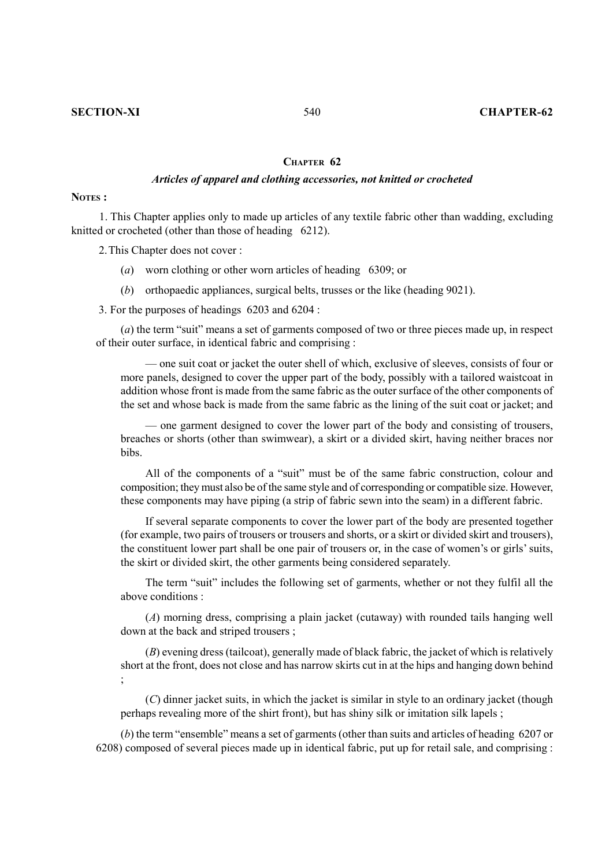### **CHAPTER 62**

## *Articles of apparel and clothing accessories, not knitted or crocheted*

# **NOTES :**

1. This Chapter applies only to made up articles of any textile fabric other than wadding, excluding knitted or crocheted (other than those of heading 6212).

2.This Chapter does not cover :

- (*a*) worn clothing or other worn articles of heading 6309; or
- (*b*) orthopaedic appliances, surgical belts, trusses or the like (heading 9021).

3. For the purposes of headings 6203 and 6204 :

(*a*) the term "suit" means a set of garments composed of two or three pieces made up, in respect of their outer surface, in identical fabric and comprising :

— one suit coat or jacket the outer shell of which, exclusive of sleeves, consists of four or more panels, designed to cover the upper part of the body, possibly with a tailored waistcoat in addition whose front is made from the same fabric as the outer surface of the other components of the set and whose back is made from the same fabric as the lining of the suit coat or jacket; and

— one garment designed to cover the lower part of the body and consisting of trousers, breaches or shorts (other than swimwear), a skirt or a divided skirt, having neither braces nor bibs.

All of the components of a "suit" must be of the same fabric construction, colour and composition; they must also be of the same style and of corresponding or compatible size. However, these components may have piping (a strip of fabric sewn into the seam) in a different fabric.

If several separate components to cover the lower part of the body are presented together (for example, two pairs of trousers or trousers and shorts, or a skirt or divided skirt and trousers), the constituent lower part shall be one pair of trousers or, in the case of women's or girls' suits, the skirt or divided skirt, the other garments being considered separately.

The term "suit" includes the following set of garments, whether or not they fulfil all the above conditions :

(*A*) morning dress, comprising a plain jacket (cutaway) with rounded tails hanging well down at the back and striped trousers ;

(*B*) evening dress (tailcoat), generally made of black fabric, the jacket of which is relatively short at the front, does not close and has narrow skirts cut in at the hips and hanging down behind ;

(*C*) dinner jacket suits, in which the jacket is similar in style to an ordinary jacket (though perhaps revealing more of the shirt front), but has shiny silk or imitation silk lapels ;

(*b*) the term "ensemble" means a set of garments (other than suits and articles of heading 6207 or 6208) composed of several pieces made up in identical fabric, put up for retail sale, and comprising :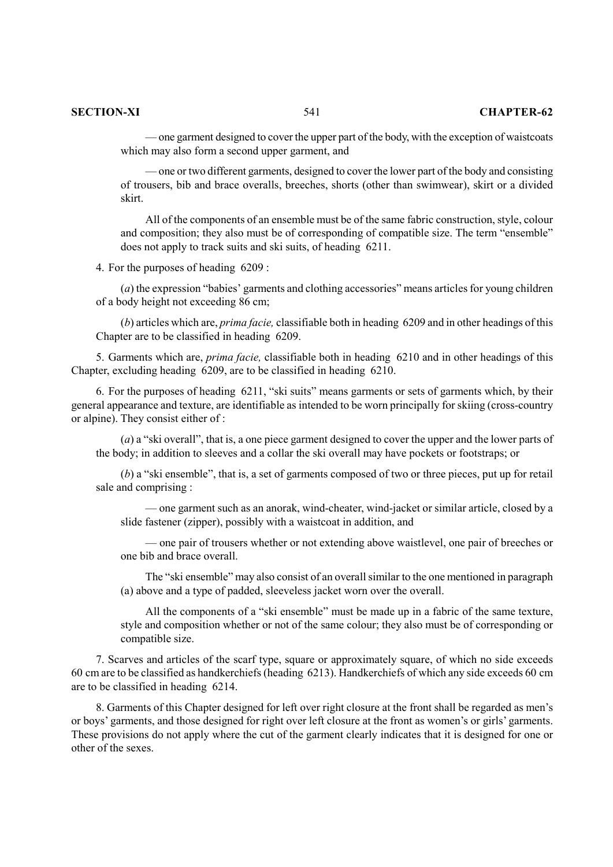— one garment designed to cover the upper part of the body, with the exception of waistcoats which may also form a second upper garment, and

— one or two different garments, designed to cover the lower part of the body and consisting of trousers, bib and brace overalls, breeches, shorts (other than swimwear), skirt or a divided skirt.

All of the components of an ensemble must be of the same fabric construction, style, colour and composition; they also must be of corresponding of compatible size. The term "ensemble" does not apply to track suits and ski suits, of heading 6211.

4. For the purposes of heading 6209 :

(*a*) the expression "babies' garments and clothing accessories" means articles for young children of a body height not exceeding 86 cm;

(*b*) articles which are, *prima facie,* classifiable both in heading 6209 and in other headings of this Chapter are to be classified in heading 6209.

5. Garments which are, *prima facie,* classifiable both in heading 6210 and in other headings of this Chapter, excluding heading 6209, are to be classified in heading 6210.

6. For the purposes of heading 6211, "ski suits" means garments or sets of garments which, by their general appearance and texture, are identifiable as intended to be worn principally for skiing (cross-country or alpine). They consist either of :

(*a*) a "ski overall", that is, a one piece garment designed to cover the upper and the lower parts of the body; in addition to sleeves and a collar the ski overall may have pockets or footstraps; or

(*b*) a "ski ensemble", that is, a set of garments composed of two or three pieces, put up for retail sale and comprising :

— one garment such as an anorak, wind-cheater, wind-jacket or similar article, closed by a slide fastener (zipper), possibly with a waistcoat in addition, and

— one pair of trousers whether or not extending above waistlevel, one pair of breeches or one bib and brace overall.

The "ski ensemble" may also consist of an overall similar to the one mentioned in paragraph (a) above and a type of padded, sleeveless jacket worn over the overall.

All the components of a "ski ensemble" must be made up in a fabric of the same texture, style and composition whether or not of the same colour; they also must be of corresponding or compatible size.

7. Scarves and articles of the scarf type, square or approximately square, of which no side exceeds 60 cm are to be classified as handkerchiefs (heading 6213). Handkerchiefs of which any side exceeds 60 cm are to be classified in heading 6214.

8. Garments of this Chapter designed for left over right closure at the front shall be regarded as men's or boys' garments, and those designed for right over left closure at the front as women's or girls' garments. These provisions do not apply where the cut of the garment clearly indicates that it is designed for one or other of the sexes.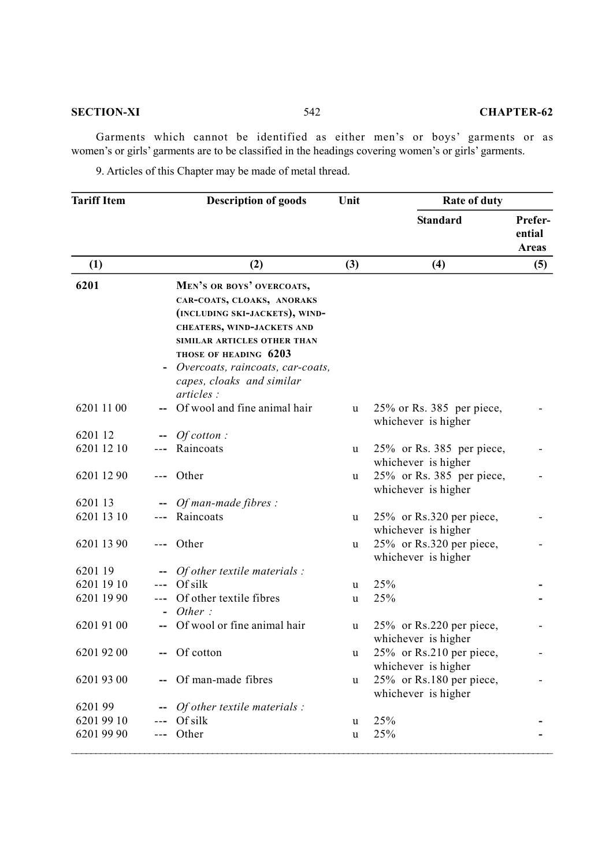Garments which cannot be identified as either men's or boys' garments or as women's or girls' garments are to be classified in the headings covering women's or girls' garments.

9. Articles of this Chapter may be made of metal thread.

| <b>Tariff Item</b> | <b>Description of goods</b>                                                                                                                                                                                                                                          | Unit | Rate of duty                                        |                                   |
|--------------------|----------------------------------------------------------------------------------------------------------------------------------------------------------------------------------------------------------------------------------------------------------------------|------|-----------------------------------------------------|-----------------------------------|
|                    |                                                                                                                                                                                                                                                                      |      | <b>Standard</b>                                     | Prefer-<br>ential<br><b>Areas</b> |
| (1)                | (2)                                                                                                                                                                                                                                                                  | (3)  | (4)                                                 | (5)                               |
| 6201               | MEN'S OR BOYS' OVERCOATS,<br>CAR-COATS, CLOAKS, ANORAKS<br>(INCLUDING SKI-JACKETS), WIND-<br>CHEATERS, WIND-JACKETS AND<br><b>SIMILAR ARTICLES OTHER THAN</b><br>THOSE OF HEADING 6203<br>Overcoats, raincoats, car-coats,<br>capes, cloaks and similar<br>articles: |      |                                                     |                                   |
| 6201 11 00         | Of wool and fine animal hair                                                                                                                                                                                                                                         | u    | $25\%$ or Rs. 385 per piece,<br>whichever is higher |                                   |
| 6201 12            | $Of$ cotton:                                                                                                                                                                                                                                                         |      |                                                     |                                   |
| 6201 12 10         | Raincoats                                                                                                                                                                                                                                                            | u    | 25% or Rs. 385 per piece,<br>whichever is higher    |                                   |
| 6201 12 90         | Other                                                                                                                                                                                                                                                                | u    | 25% or Rs. 385 per piece,<br>whichever is higher    |                                   |
| 6201 13            | Of man-made fibres :                                                                                                                                                                                                                                                 |      |                                                     |                                   |
| 6201 13 10         | Raincoats                                                                                                                                                                                                                                                            | u    | 25% or Rs.320 per piece,<br>whichever is higher     |                                   |
| 6201 13 90         | Other                                                                                                                                                                                                                                                                | u    | 25% or Rs.320 per piece,<br>whichever is higher     |                                   |
| 6201 19            | <i>Of other textile materials :</i>                                                                                                                                                                                                                                  |      |                                                     |                                   |
| 6201 19 10         | Of silk                                                                                                                                                                                                                                                              | u    | 25%                                                 |                                   |
| 6201 19 90         | Of other textile fibres<br>Other:                                                                                                                                                                                                                                    | u    | 25%                                                 |                                   |
| 62019100           | Of wool or fine animal hair                                                                                                                                                                                                                                          | u    | 25% or Rs.220 per piece,<br>whichever is higher     |                                   |
| 62019200           | -- Of cotton                                                                                                                                                                                                                                                         | u    | 25% or Rs.210 per piece,<br>whichever is higher     |                                   |
| 62019300           | Of man-made fibres                                                                                                                                                                                                                                                   | u    | 25% or Rs.180 per piece,<br>whichever is higher     |                                   |
| 620199             | Of other textile materials :                                                                                                                                                                                                                                         |      |                                                     |                                   |
| 62019910           | Of silk                                                                                                                                                                                                                                                              | u    | 25%                                                 |                                   |
| 62019990           | Other                                                                                                                                                                                                                                                                | u    | 25%                                                 |                                   |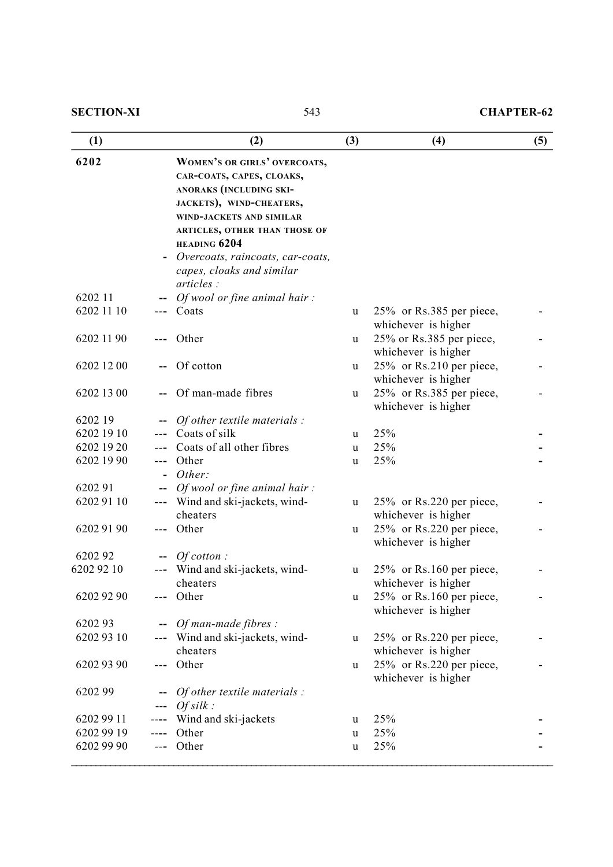| <b>SECTION-XI</b> |  |
|-------------------|--|
|                   |  |

| (1)        |                          | (2)                                                                                                                                                                                                                                                                                 | (3) | (4)                         | (5) |
|------------|--------------------------|-------------------------------------------------------------------------------------------------------------------------------------------------------------------------------------------------------------------------------------------------------------------------------------|-----|-----------------------------|-----|
| 6202       |                          | WOMEN'S OR GIRLS' OVERCOATS,<br>CAR-COATS, CAPES, CLOAKS,<br>ANORAKS (INCLUDING SKI-<br>JACKETS), WIND-CHEATERS,<br><b>WIND-JACKETS AND SIMILAR</b><br>ARTICLES, OTHER THAN THOSE OF<br>HEADING 6204<br>Overcoats, raincoats, car-coats,<br>capes, cloaks and similar<br>articles : |     |                             |     |
| 6202 11    |                          | Of wool or fine animal hair:                                                                                                                                                                                                                                                        |     |                             |     |
| 6202 11 10 |                          | Coats                                                                                                                                                                                                                                                                               | u   | 25% or Rs.385 per piece,    |     |
|            |                          |                                                                                                                                                                                                                                                                                     |     | whichever is higher         |     |
| 6202 11 90 |                          | Other                                                                                                                                                                                                                                                                               | u   | 25% or Rs.385 per piece,    |     |
|            |                          |                                                                                                                                                                                                                                                                                     |     |                             |     |
| 6202 12 00 |                          |                                                                                                                                                                                                                                                                                     |     | whichever is higher         |     |
|            |                          | Of cotton                                                                                                                                                                                                                                                                           | u   | 25% or Rs.210 per piece,    |     |
|            |                          |                                                                                                                                                                                                                                                                                     |     | whichever is higher         |     |
| 6202 13 00 |                          | Of man-made fibres                                                                                                                                                                                                                                                                  | u   | 25% or Rs.385 per piece,    |     |
|            |                          |                                                                                                                                                                                                                                                                                     |     | whichever is higher         |     |
| 6202 19    |                          | <i>Of other textile materials :</i>                                                                                                                                                                                                                                                 |     |                             |     |
| 6202 19 10 |                          | --- Coats of silk                                                                                                                                                                                                                                                                   | u   | 25%                         |     |
| 6202 19 20 |                          | Coats of all other fibres                                                                                                                                                                                                                                                           | u   | 25%                         |     |
| 6202 19 90 | $---$                    | Other                                                                                                                                                                                                                                                                               | u   | 25%                         |     |
|            |                          | Other:                                                                                                                                                                                                                                                                              |     |                             |     |
| 6202 91    |                          | Of wool or fine animal hair:                                                                                                                                                                                                                                                        |     |                             |     |
| 6202 91 10 |                          | Wind and ski-jackets, wind-                                                                                                                                                                                                                                                         | u   | 25% or Rs.220 per piece,    |     |
|            |                          | cheaters                                                                                                                                                                                                                                                                            |     | whichever is higher         |     |
| 6202 91 90 |                          | Other                                                                                                                                                                                                                                                                               | u   | 25% or Rs.220 per piece,    |     |
|            |                          |                                                                                                                                                                                                                                                                                     |     | whichever is higher         |     |
| 6202 92    |                          | $Of cot t$ :                                                                                                                                                                                                                                                                        |     |                             |     |
| 6202 92 10 |                          | Wind and ski-jackets, wind-                                                                                                                                                                                                                                                         | u   | 25% or Rs.160 per piece,    |     |
|            |                          | cheaters                                                                                                                                                                                                                                                                            |     | whichever is higher         |     |
| 6202 92 90 | $--$                     | Other                                                                                                                                                                                                                                                                               | u   | $25\%$ or Rs.160 per piece, |     |
|            |                          |                                                                                                                                                                                                                                                                                     |     | whichever is higher         |     |
| 6202 93    |                          | -- Of man-made fibres :                                                                                                                                                                                                                                                             |     |                             |     |
| 6202 93 10 | ---                      | Wind and ski-jackets, wind-                                                                                                                                                                                                                                                         | u   | 25% or Rs.220 per piece,    |     |
|            |                          | cheaters                                                                                                                                                                                                                                                                            |     | whichever is higher         |     |
| 6202 93 90 | $---$                    | Other                                                                                                                                                                                                                                                                               | u   | 25% or Rs.220 per piece,    |     |
|            |                          |                                                                                                                                                                                                                                                                                     |     | whichever is higher         |     |
| 6202 99    | $\overline{\phantom{a}}$ | <i>Of other textile materials :</i>                                                                                                                                                                                                                                                 |     |                             |     |
|            | $---$                    | Ofsilk:                                                                                                                                                                                                                                                                             |     |                             |     |
| 6202 99 11 |                          | Wind and ski-jackets                                                                                                                                                                                                                                                                | u   | 25%                         |     |
| 6202 99 19 | ----                     | Other                                                                                                                                                                                                                                                                               | u   | 25%                         |     |
| 6202 99 90 | $---$                    | Other                                                                                                                                                                                                                                                                               | u   | 25%                         |     |
|            |                          |                                                                                                                                                                                                                                                                                     |     |                             |     |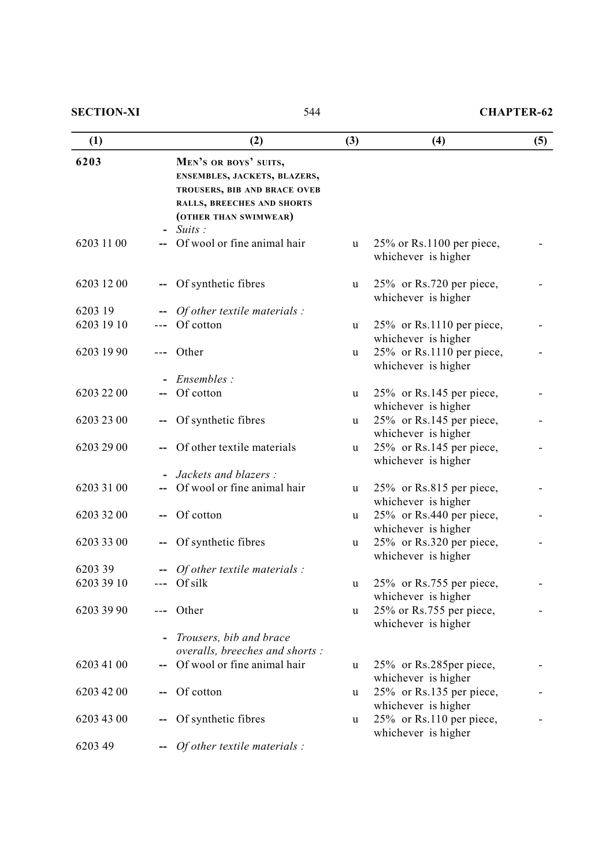| (1)        | (2)                                                                                                                                                    | (3) | (4)                                                 | (5) |
|------------|--------------------------------------------------------------------------------------------------------------------------------------------------------|-----|-----------------------------------------------------|-----|
| 6203       | MEN'S OR BOYS' SUITS,<br>ENSEMBLES, JACKETS, BLAZERS,<br>TROUSERS, BIB AND BRACE OVEB<br>RALLS, BREECHES AND SHORTS<br>(OTHER THAN SWIMWEAR)<br>Suits: |     |                                                     |     |
| 6203 11 00 | Of wool or fine animal hair                                                                                                                            | u   | $25\%$ or Rs.1100 per piece,<br>whichever is higher |     |
| 6203 12 00 | Of synthetic fibres                                                                                                                                    | u   | 25% or Rs.720 per piece,<br>whichever is higher     |     |
| 6203 19    | <i>Of other textile materials :</i>                                                                                                                    |     |                                                     |     |
| 6203 19 10 | Of cotton                                                                                                                                              | u   | 25% or Rs.1110 per piece,<br>whichever is higher    |     |
| 6203 19 90 | Other                                                                                                                                                  | u   | $25\%$ or Rs.1110 per piece,<br>whichever is higher |     |
|            | Ensembles:                                                                                                                                             |     |                                                     |     |
| 6203 22 00 | Of cotton                                                                                                                                              | u   | 25% or Rs.145 per piece,<br>whichever is higher     |     |
| 6203 23 00 | Of synthetic fibres                                                                                                                                    | u   | 25% or Rs.145 per piece,<br>whichever is higher     |     |
| 6203 29 00 | -- Of other textile materials                                                                                                                          | u   | 25% or Rs.145 per piece,<br>whichever is higher     |     |
|            | Jackets and blazers :                                                                                                                                  |     |                                                     |     |
| 6203 31 00 | Of wool or fine animal hair                                                                                                                            | u   | 25% or Rs.815 per piece,<br>whichever is higher     |     |
| 6203 32 00 | Of cotton                                                                                                                                              | u   | 25% or Rs.440 per piece,<br>whichever is higher     |     |
| 6203 33 00 | Of synthetic fibres                                                                                                                                    | u   | 25% or Rs.320 per piece,<br>whichever is higher     |     |
| 6203 39    | <i>Of other textile materials :</i>                                                                                                                    |     |                                                     |     |
| 6203 39 10 | --- Of silk                                                                                                                                            | u   | 25% or Rs.755 per piece,<br>whichever is higher     |     |
| 6203 39 90 | Other                                                                                                                                                  | u   | 25% or Rs.755 per piece,<br>whichever is higher     |     |
|            | Trousers, bib and brace<br>overalls, breeches and shorts :                                                                                             |     |                                                     |     |
| 6203 41 00 | Of wool or fine animal hair                                                                                                                            | u   | 25% or Rs.285 per piece,<br>whichever is higher     |     |
| 6203 42 00 | Of cotton                                                                                                                                              | u   | 25% or Rs.135 per piece,<br>whichever is higher     |     |
| 6203 43 00 | Of synthetic fibres                                                                                                                                    | u   | 25% or Rs.110 per piece,<br>whichever is higher     |     |
| 6203 49    | Of other textile materials :                                                                                                                           |     |                                                     |     |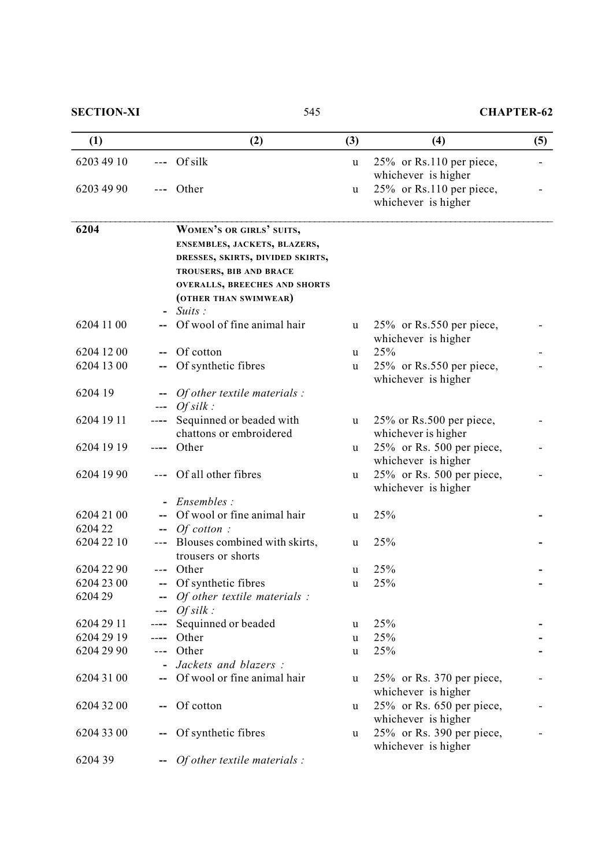| (1)        |       | (2)                                                                                                                                                                                                | (3) | (4)                                              | (5) |
|------------|-------|----------------------------------------------------------------------------------------------------------------------------------------------------------------------------------------------------|-----|--------------------------------------------------|-----|
| 6203 49 10 |       | Of silk                                                                                                                                                                                            | u   | 25% or Rs.110 per piece,<br>whichever is higher  |     |
| 6203 49 90 |       | Other                                                                                                                                                                                              | u   | 25% or Rs.110 per piece,                         |     |
|            |       |                                                                                                                                                                                                    |     | whichever is higher                              |     |
| 6204       |       | WOMEN'S OR GIRLS' SUITS,<br>ENSEMBLES, JACKETS, BLAZERS,<br>DRESSES, SKIRTS, DIVIDED SKIRTS,<br>TROUSERS, BIB AND BRACE<br><b>OVERALLS, BREECHES AND SHORTS</b><br>(OTHER THAN SWIMWEAR)<br>Suits: |     |                                                  |     |
| 6204 11 00 |       | Of wool of fine animal hair                                                                                                                                                                        | u   | 25% or Rs.550 per piece,<br>whichever is higher  |     |
| 6204 12 00 |       | Of cotton                                                                                                                                                                                          | u   | 25%                                              |     |
| 6204 13 00 |       | Of synthetic fibres                                                                                                                                                                                | u   | 25% or Rs.550 per piece,                         |     |
|            |       |                                                                                                                                                                                                    |     | whichever is higher                              |     |
| 6204 19    |       | Of other textile materials :                                                                                                                                                                       |     |                                                  |     |
|            |       | <i>Of silk</i> :                                                                                                                                                                                   |     |                                                  |     |
| 6204 19 11 |       | Sequinned or beaded with                                                                                                                                                                           | u   | 25% or Rs.500 per piece,                         |     |
|            |       | chattons or embroidered                                                                                                                                                                            |     | whichever is higher                              |     |
| 6204 19 19 |       | Other                                                                                                                                                                                              | u   | $25\%$ or Rs. 500 per piece,                     |     |
|            |       |                                                                                                                                                                                                    |     | whichever is higher                              |     |
| 6204 19 90 |       | Of all other fibres                                                                                                                                                                                | u   | 25% or Rs. 500 per piece,                        |     |
|            |       |                                                                                                                                                                                                    |     | whichever is higher                              |     |
|            |       | Ensembles :                                                                                                                                                                                        |     |                                                  |     |
| 6204 21 00 |       | Of wool or fine animal hair                                                                                                                                                                        | u   | 25%                                              |     |
| 620422     | $-$   | <i>Of cotton:</i>                                                                                                                                                                                  |     |                                                  |     |
| 6204 22 10 |       | Blouses combined with skirts,<br>trousers or shorts                                                                                                                                                | u   | 25%                                              |     |
| 6204 22 90 | $---$ | Other                                                                                                                                                                                              | u   | 25%                                              |     |
| 6204 23 00 |       | Of synthetic fibres                                                                                                                                                                                | u   | 25%                                              |     |
| 620429     |       | -- Of other textile materials :                                                                                                                                                                    |     |                                                  |     |
|            | $---$ | <i>Of silk</i> :                                                                                                                                                                                   |     |                                                  |     |
| 6204 29 11 | ----  | Sequinned or beaded                                                                                                                                                                                | u   | 25%                                              |     |
| 6204 29 19 | $---$ | Other                                                                                                                                                                                              | u   | 25%                                              |     |
| 6204 29 90 | $  -$ | Other                                                                                                                                                                                              | u   | 25%                                              |     |
|            |       | Jackets and blazers:                                                                                                                                                                               |     |                                                  |     |
| 6204 31 00 |       | Of wool or fine animal hair                                                                                                                                                                        | u   | $25\%$ or Rs. 370 per piece,                     |     |
|            |       |                                                                                                                                                                                                    |     | whichever is higher                              |     |
| 6204 32 00 |       | Of cotton                                                                                                                                                                                          | u   | $25\%$ or Rs. 650 per piece,                     |     |
|            |       |                                                                                                                                                                                                    |     | whichever is higher                              |     |
| 6204 33 00 |       | Of synthetic fibres                                                                                                                                                                                | u   | 25% or Rs. 390 per piece,<br>whichever is higher |     |
| 6204 39    |       | Of other textile materials :                                                                                                                                                                       |     |                                                  |     |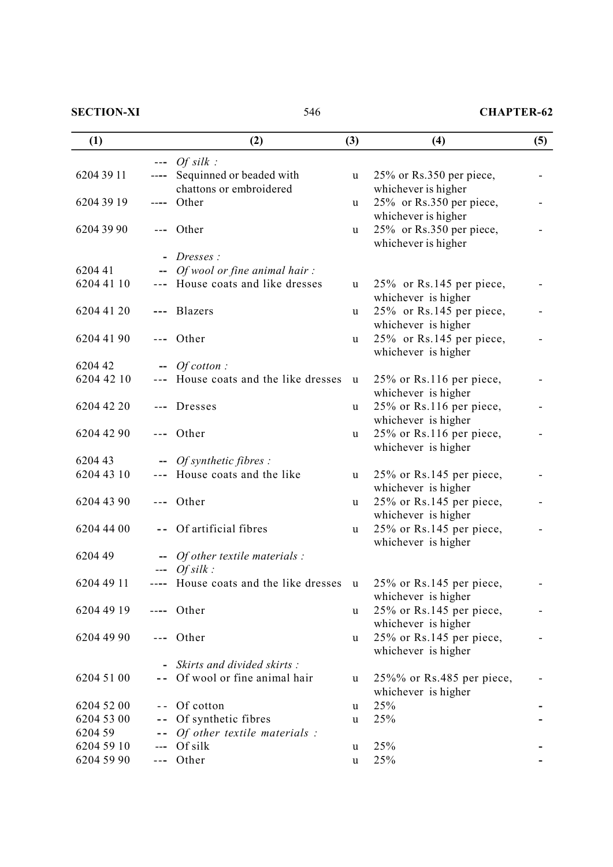| (1)        |                      | (2)                                 | (3) | (4)                           | (5) |
|------------|----------------------|-------------------------------------|-----|-------------------------------|-----|
|            |                      |                                     |     |                               |     |
|            |                      | <i>Of silk</i> :                    |     |                               |     |
| 6204 39 11 |                      | Sequinned or beaded with            | u   | 25% or Rs.350 per piece,      |     |
|            |                      | chattons or embroidered             |     | whichever is higher           |     |
| 6204 39 19 | ----                 | Other                               | u   | 25% or Rs.350 per piece,      |     |
|            |                      |                                     |     | whichever is higher           |     |
| 6204 39 90 |                      | Other                               | u   | 25% or Rs.350 per piece,      |     |
|            |                      |                                     |     | whichever is higher           |     |
|            |                      | <i>Dresses</i> :                    |     |                               |     |
| 6204 41    |                      | Of wool or fine animal hair:        |     |                               |     |
| 62044110   | $\sim$ $\sim$ $\sim$ | House coats and like dresses        | u   | 25% or Rs.145 per piece,      |     |
|            |                      |                                     |     | whichever is higher           |     |
| 6204 41 20 |                      | Blazers                             | u   | 25% or Rs.145 per piece,      |     |
|            |                      |                                     |     | whichever is higher           |     |
| 6204 41 90 |                      | Other                               | u   | 25% or Rs.145 per piece,      |     |
|            |                      |                                     |     | whichever is higher           |     |
| 6204 42    |                      | $Of cot to n$ :                     |     |                               |     |
| 6204 42 10 |                      | House coats and the like dresses    | u   | $25\%$ or Rs.116 per piece,   |     |
|            |                      |                                     |     | whichever is higher           |     |
| 6204 42 20 |                      | Dresses                             | u   | 25% or Rs.116 per piece,      |     |
|            |                      |                                     |     | whichever is higher           |     |
| 6204 42 90 |                      | Other                               | u   | 25% or Rs.116 per piece,      |     |
|            |                      |                                     |     | whichever is higher           |     |
| 6204 43    |                      | -- Of synthetic fibres :            |     |                               |     |
| 6204 43 10 |                      | House coats and the like            | u   | $25\%$ or Rs.145 per piece,   |     |
|            |                      |                                     |     | whichever is higher           |     |
| 6204 43 90 |                      | Other                               | u   | 25% or Rs.145 per piece,      |     |
|            |                      |                                     |     | whichever is higher           |     |
| 6204 44 00 |                      | Of artificial fibres                | u   | $25\%$ or Rs.145 per piece,   |     |
|            |                      |                                     |     | whichever is higher           |     |
| 6204 49    |                      | <i>Of other textile materials :</i> |     |                               |     |
|            |                      | $Of$ silk:                          |     |                               |     |
| 6204 49 11 |                      | House coats and the like dresses    | u   | 25% or Rs.145 per piece,      |     |
|            |                      |                                     |     | whichever is higher           |     |
| 6204 49 19 |                      | Other                               | u   | $25\%$ or Rs.145 per piece,   |     |
|            |                      |                                     |     | whichever is higher           |     |
| 6204 49 90 |                      | Other                               | u   | $25\%$ or Rs.145 per piece,   |     |
|            |                      |                                     |     | whichever is higher           |     |
|            |                      | Skirts and divided skirts:          |     |                               |     |
| 6204 51 00 |                      | Of wool or fine animal hair         | u   | $25\%$ % or Rs.485 per piece, |     |
|            |                      |                                     |     | whichever is higher           |     |
| 6204 52 00 |                      | Of cotton                           | u   | 25%                           |     |
| 6204 53 00 |                      | Of synthetic fibres                 | u   | 25%                           |     |
| 6204 59    |                      | Of other textile materials :        |     |                               |     |
| 6204 59 10 |                      | Of silk                             | u   | 25%                           |     |
| 6204 59 90 | $- - -$              | Other                               | u   | 25%                           |     |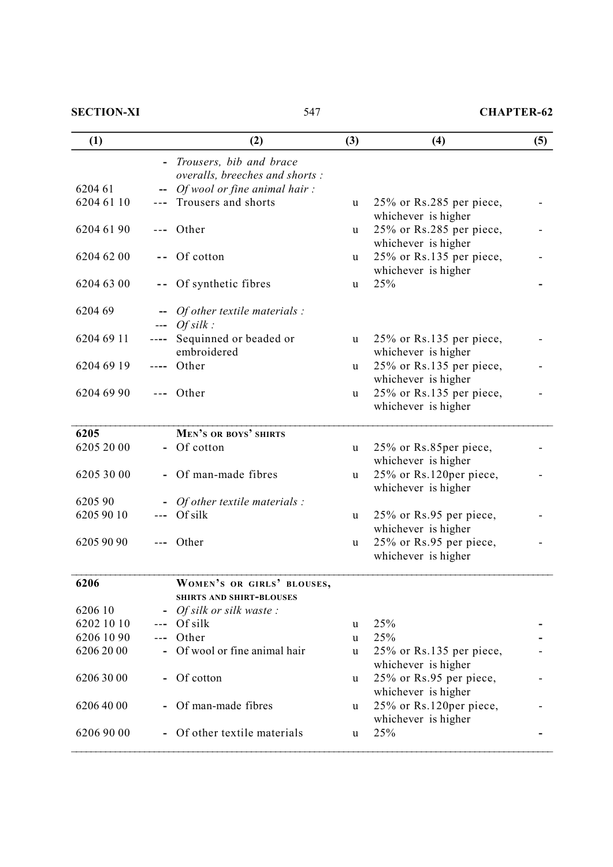| (1)        |                          | (2)                                 | (3) | (4)                         | (5) |
|------------|--------------------------|-------------------------------------|-----|-----------------------------|-----|
|            |                          | Trousers, bib and brace             |     |                             |     |
|            |                          | overalls, breeches and shorts :     |     |                             |     |
| 6204 61    | $\overline{\phantom{m}}$ | Of wool or fine animal hair:        |     |                             |     |
| 6204 61 10 |                          | Trousers and shorts                 | u   | $25\%$ or Rs.285 per piece, |     |
|            |                          |                                     |     | whichever is higher         |     |
| 6204 61 90 |                          | Other                               | u   | 25% or Rs.285 per piece,    |     |
|            |                          |                                     |     | whichever is higher         |     |
| 6204 62 00 |                          | Of cotton                           | u   | 25% or Rs.135 per piece,    |     |
|            |                          |                                     |     | whichever is higher         |     |
| 6204 63 00 | $- -$                    | Of synthetic fibres                 | u   | 25%                         |     |
| 6204 69    |                          | <i>Of other textile materials :</i> |     |                             |     |
|            |                          | Ofsilk:                             |     |                             |     |
| 6204 69 11 | ----                     | Sequinned or beaded or              | u   | $25\%$ or Rs.135 per piece, |     |
|            |                          | embroidered                         |     | whichever is higher         |     |
| 6204 69 19 |                          | Other                               | u   | 25% or Rs.135 per piece,    |     |
|            |                          |                                     |     | whichever is higher         |     |
| 6204 69 90 |                          | Other                               | u   | 25% or Rs.135 per piece,    |     |
|            |                          |                                     |     | whichever is higher         |     |
| 6205       |                          | MEN'S OR BOYS' SHIRTS               |     |                             |     |
| 6205 20 00 |                          | Of cotton                           | u   | 25% or Rs.85 per piece,     |     |
|            |                          |                                     |     | whichever is higher         |     |
| 6205 30 00 |                          | - Of man-made fibres                | u   | 25% or Rs.120per piece,     |     |
|            |                          |                                     |     | whichever is higher         |     |
| 6205 90    |                          | <i>Of other textile materials :</i> |     |                             |     |
| 6205 90 10 |                          | Of silk                             | u   | 25% or Rs.95 per piece,     |     |
|            |                          |                                     |     | whichever is higher         |     |
| 6205 90 90 |                          | Other                               | u   | 25% or Rs.95 per piece,     |     |
|            |                          |                                     |     | whichever is higher         |     |
| 6206       |                          | WOMEN'S OR GIRLS' BLOUSES,          |     |                             |     |
|            |                          | <b>SHIRTS AND SHIRT-BLOUSES</b>     |     |                             |     |
| 6206 10    |                          | Of silk or silk waste:              |     |                             |     |
| 6202 10 10 | $---$                    | Of silk                             | u   | 25%                         |     |
| 6206 10 90 |                          | Other                               | u   | 25%                         |     |
| 6206 20 00 |                          | Of wool or fine animal hair         | u   | 25% or Rs.135 per piece,    |     |
|            |                          |                                     |     | whichever is higher         |     |
| 62063000   |                          | Of cotton                           | u   | 25% or Rs.95 per piece,     |     |
|            |                          |                                     |     | whichever is higher         |     |
| 62064000   |                          | Of man-made fibres                  | u   | 25% or Rs.120per piece,     |     |
|            |                          |                                     |     | whichever is higher         |     |
| 6206 90 00 |                          | Of other textile materials          | u   | 25%                         |     |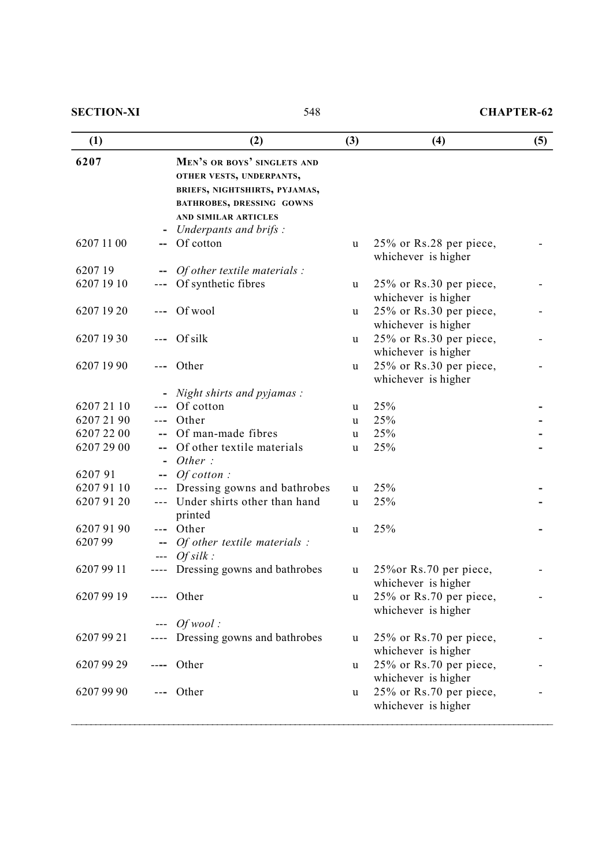| (1)        |                          | (2)                                                                                                                                                                           | (3) | (4)                                             | (5) |
|------------|--------------------------|-------------------------------------------------------------------------------------------------------------------------------------------------------------------------------|-----|-------------------------------------------------|-----|
| 6207       |                          | MEN'S OR BOYS' SINGLETS AND<br>OTHER VESTS, UNDERPANTS,<br>BRIEFS, NIGHTSHIRTS, PYJAMAS,<br><b>BATHROBES, DRESSING GOWNS</b><br>AND SIMILAR ARTICLES<br>Underpants and brifs: |     |                                                 |     |
| 62071100   |                          | Of cotton                                                                                                                                                                     | u   | 25% or Rs.28 per piece,<br>whichever is higher  |     |
| 6207 19    |                          | Of other textile materials :                                                                                                                                                  |     |                                                 |     |
| 6207 19 10 | ---                      | Of synthetic fibres                                                                                                                                                           | u   | 25% or Rs.30 per piece,<br>whichever is higher  |     |
| 6207 19 20 |                          | Of wool                                                                                                                                                                       | u   | 25% or Rs.30 per piece,<br>whichever is higher  |     |
| 6207 1930  |                          | Of silk                                                                                                                                                                       | u   | 25% or Rs.30 per piece,<br>whichever is higher  |     |
| 62071990   |                          | Other                                                                                                                                                                         | u   | 25% or Rs.30 per piece,<br>whichever is higher  |     |
|            |                          | Night shirts and pyjamas:                                                                                                                                                     |     |                                                 |     |
| 62072110   |                          | Of cotton                                                                                                                                                                     | u   | 25%                                             |     |
| 62072190   | $- - -$                  | Other                                                                                                                                                                         | u   | 25%                                             |     |
| 6207 22 00 |                          | -- Of man-made fibres                                                                                                                                                         | u   | 25%                                             |     |
| 6207 29 00 |                          | Of other textile materials<br>Other:                                                                                                                                          | u   | 25%                                             |     |
| 620791     | $\overline{\phantom{m}}$ | $Of cotton$ :                                                                                                                                                                 |     |                                                 |     |
| 62079110   | $- - -$                  | Dressing gowns and bathrobes                                                                                                                                                  | u   | 25%                                             |     |
| 62079120   |                          | Under shirts other than hand<br>printed                                                                                                                                       | u   | 25%                                             |     |
| 62079190   |                          | Other                                                                                                                                                                         | u   | 25%                                             |     |
| 620799     | ---                      | Of other textile materials :<br>$Ofsilk$ :                                                                                                                                    |     |                                                 |     |
| 62079911   |                          | Dressing gowns and bathrobes                                                                                                                                                  | u   | 25\% or Rs.70 per piece,<br>whichever is higher |     |
| 62079919   |                          | Other                                                                                                                                                                         | u   | 25% or Rs.70 per piece,<br>whichever is higher  |     |
|            |                          | $Of \, wool$ :                                                                                                                                                                |     |                                                 |     |
| 62079921   |                          | Dressing gowns and bathrobes                                                                                                                                                  | u   | 25% or Rs.70 per piece,<br>whichever is higher  |     |
| 62079929   |                          | Other                                                                                                                                                                         | u   | 25% or Rs.70 per piece,<br>whichever is higher  |     |
| 62079990   |                          | Other                                                                                                                                                                         | u   | 25% or Rs.70 per piece,<br>whichever is higher  |     |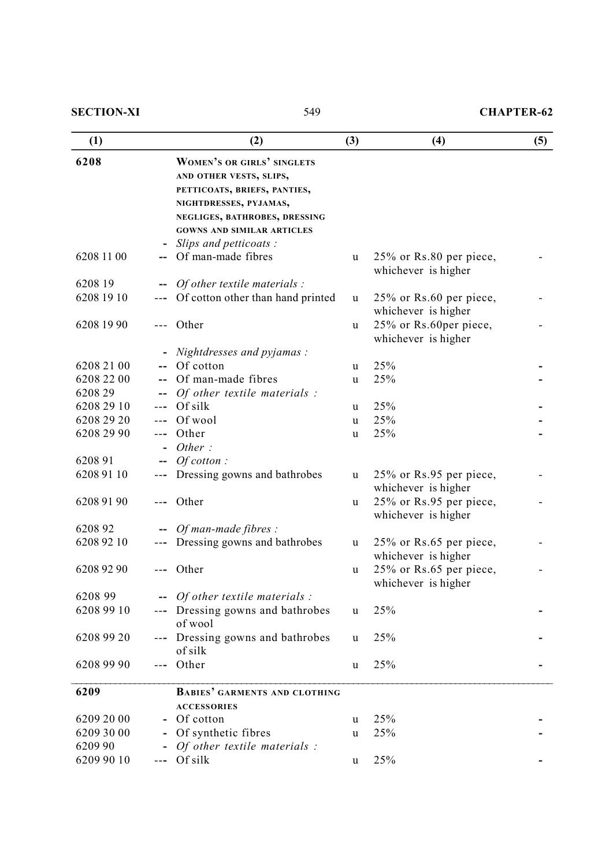| <b>SECTION-XI</b> |  |
|-------------------|--|
|                   |  |

| (1)                      |                          | (2)                                  | (3) | (4)                                            | (5) |
|--------------------------|--------------------------|--------------------------------------|-----|------------------------------------------------|-----|
| 6208                     |                          | <b>WOMEN'S OR GIRLS' SINGLETS</b>    |     |                                                |     |
|                          |                          | AND OTHER VESTS, SLIPS,              |     |                                                |     |
|                          |                          | PETTICOATS, BRIEFS, PANTIES,         |     |                                                |     |
|                          |                          | NIGHTDRESSES, PYJAMAS,               |     |                                                |     |
|                          |                          | NEGLIGES, BATHROBES, DRESSING        |     |                                                |     |
|                          |                          | <b>GOWNS AND SIMILAR ARTICLES</b>    |     |                                                |     |
|                          |                          | Slips and petticoats :               |     |                                                |     |
| 6208 11 00               |                          | Of man-made fibres                   | u   | 25% or Rs.80 per piece,                        |     |
|                          |                          |                                      |     | whichever is higher                            |     |
| 6208 19                  |                          | <i>Of other textile materials :</i>  |     |                                                |     |
| 6208 19 10               |                          | Of cotton other than hand printed    | u   | 25% or Rs.60 per piece,                        |     |
|                          |                          |                                      |     | whichever is higher                            |     |
| 6208 19 90               |                          | Other                                | u   | 25% or Rs.60per piece,                         |     |
|                          |                          |                                      |     | whichever is higher                            |     |
|                          |                          | Nightdresses and pyjamas:            |     |                                                |     |
| 6208 21 00               |                          | Of cotton                            | u   | 25%                                            |     |
| 6208 22 00               |                          | Of man-made fibres                   | u   | 25%                                            |     |
| 6208 29                  |                          | Of other textile materials :         |     |                                                |     |
| 6208 29 10               | ---                      | Of silk<br>Of wool                   | u   | 25%                                            |     |
| 6208 29 20<br>6208 29 90 |                          | Other                                | u   | 25%                                            |     |
|                          | ---                      | Other:                               | u   | 25%                                            |     |
| 6208 91                  |                          | $Of cot t$ :                         |     |                                                |     |
| 6208 91 10               | $\overline{\phantom{m}}$ | Dressing gowns and bathrobes         |     |                                                |     |
|                          |                          |                                      | u   | 25% or Rs.95 per piece,<br>whichever is higher |     |
| 6208 91 90               |                          | Other                                | u   | 25% or Rs.95 per piece,                        |     |
|                          |                          |                                      |     | whichever is higher                            |     |
| 6208 92                  |                          | Of man-made fibres :                 |     |                                                |     |
| 6208 92 10               |                          | Dressing gowns and bathrobes         | u   | 25% or Rs.65 per piece,                        |     |
|                          |                          |                                      |     | whichever is higher                            |     |
| 6208 92 90               |                          | Other                                | u   | 25% or Rs.65 per piece,                        |     |
|                          |                          |                                      |     | whichever is higher                            |     |
| 6208 99                  |                          | -- Of other textile materials :      |     |                                                |     |
| 6208 99 10               |                          | Dressing gowns and bathrobes         | u   | 25%                                            |     |
|                          |                          | of wool                              |     |                                                |     |
| 6208 99 20               |                          | Dressing gowns and bathrobes         | u   | 25%                                            |     |
|                          |                          | of silk                              |     |                                                |     |
| 6208 99 90               | ---                      | Other                                | u   | 25%                                            |     |
|                          |                          |                                      |     |                                                |     |
| 6209                     |                          | <b>BABIES' GARMENTS AND CLOTHING</b> |     |                                                |     |
|                          |                          | <b>ACCESSORIES</b>                   |     |                                                |     |
| 6209 20 00               |                          | Of cotton                            | u   | 25%                                            |     |
| 6209 30 00               |                          | Of synthetic fibres                  | u   | 25%                                            |     |
| 6209 90                  |                          | Of other textile materials :         |     |                                                |     |
| 6209 90 10               |                          | Of silk                              | u   | 25%                                            |     |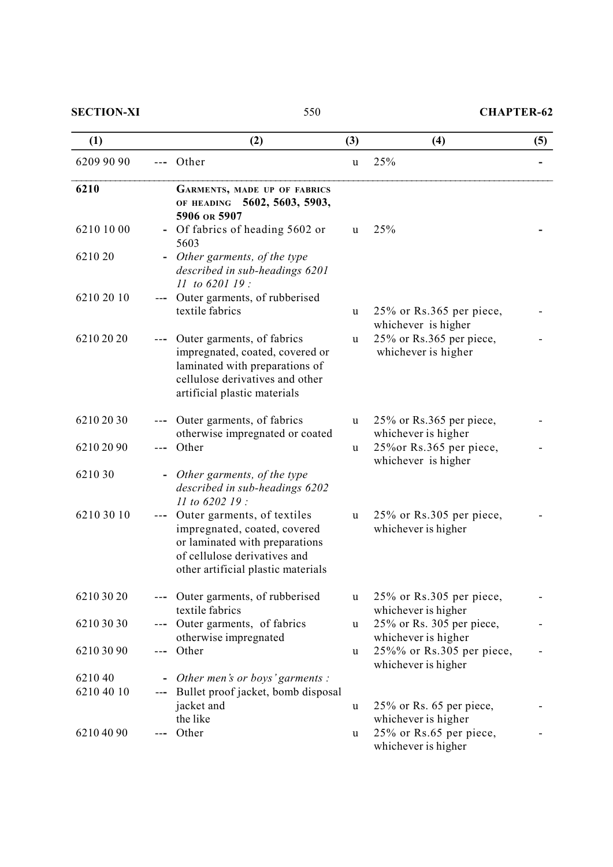**SECTION-XI** 550 **CHAPTER-62** 

| (1)                  |     | (2)                                                                                                                                                                 | (3) | (4)                                                                    | (5) |
|----------------------|-----|---------------------------------------------------------------------------------------------------------------------------------------------------------------------|-----|------------------------------------------------------------------------|-----|
| 6209 90 90           |     | Other                                                                                                                                                               | u   | 25%                                                                    |     |
| 6210                 |     | <b>GARMENTS, MADE UP OF FABRICS</b><br>5602, 5603, 5903,<br>OF HEADING<br>5906 OR 5907                                                                              |     |                                                                        |     |
| 62101000             |     | Of fabrics of heading 5602 or<br>5603                                                                                                                               | u   | 25%                                                                    |     |
| 6210 20              | -   | Other garments, of the type<br>described in sub-headings 6201<br>$11$ to $620119$ :                                                                                 |     |                                                                        |     |
| 6210 20 10           |     | Outer garments, of rubberised<br>textile fabrics                                                                                                                    | u   | $25\%$ or Rs.365 per piece,                                            |     |
| 62102020             |     | Outer garments, of fabrics<br>impregnated, coated, covered or<br>laminated with preparations of<br>cellulose derivatives and other<br>artificial plastic materials  | u   | whichever is higher<br>25% or Rs.365 per piece,<br>whichever is higher |     |
| 62102030             |     | Outer garments, of fabrics<br>otherwise impregnated or coated                                                                                                       | u   | $25\%$ or Rs.365 per piece,<br>whichever is higher                     |     |
| 62102090             |     | Other                                                                                                                                                               | u   | 25% or Rs.365 per piece,<br>whichever is higher                        |     |
| 6210 30              | ۰   | Other garments, of the type<br>described in sub-headings 6202<br>Il to 6202 19 :                                                                                    |     |                                                                        |     |
| 62103010             |     | Outer garments, of textiles<br>impregnated, coated, covered<br>or laminated with preparations<br>of cellulose derivatives and<br>other artificial plastic materials | u   | $25\%$ or Rs.305 per piece,<br>whichever is higher                     |     |
| 62103020             |     | Outer garments, of rubberised<br>textile fabrics                                                                                                                    | u   | 25% or Rs.305 per piece,<br>whichever is higher                        |     |
| 62103030             | --- | Outer garments, of fabrics<br>otherwise impregnated                                                                                                                 | u   | 25% or Rs. 305 per piece,<br>whichever is higher                       |     |
| 62103090             |     | Other                                                                                                                                                               | u   | 25%% or Rs.305 per piece,<br>whichever is higher                       |     |
| 621040<br>6210 40 10 | ۰   | Other men's or boys' garments :<br>Bullet proof jacket, bomb disposal                                                                                               |     |                                                                        |     |
|                      |     | jacket and<br>the like                                                                                                                                              | u   | $25\%$ or Rs. 65 per piece,<br>whichever is higher                     |     |
| 62104090             |     | Other                                                                                                                                                               | u   | 25% or Rs.65 per piece,<br>whichever is higher                         |     |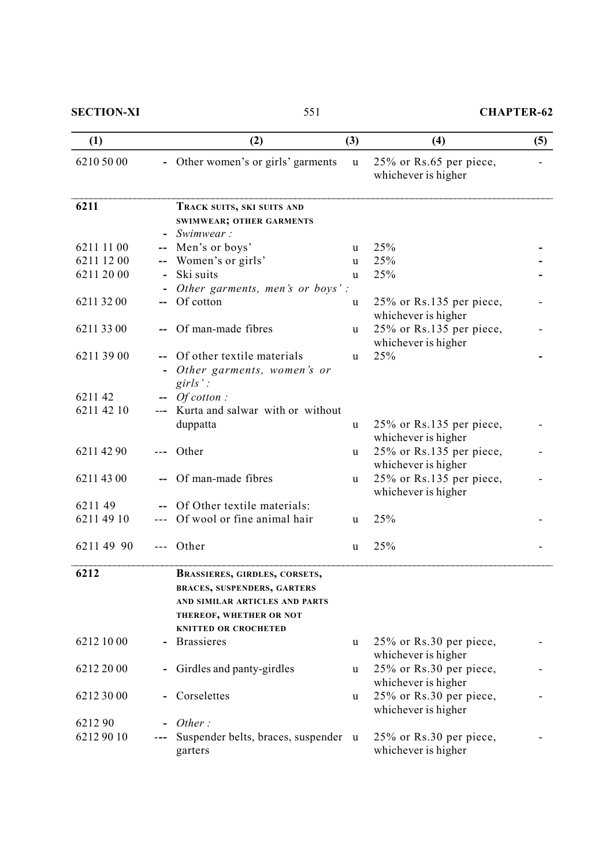**SECTION-XI** 551 **CHAPTER-62** 

| (1)        |                | (2)                                  | (3)         | (4)                                            | (5) |
|------------|----------------|--------------------------------------|-------------|------------------------------------------------|-----|
| 6210 50 00 |                | Other women's or girls' garments     | $\mathbf u$ | 25% or Rs.65 per piece,<br>whichever is higher |     |
| 6211       |                | TRACK SUITS, SKI SUITS AND           |             |                                                |     |
|            |                | <b>SWIMWEAR; OTHER GARMENTS</b>      |             |                                                |     |
|            |                | Swimwear:                            |             |                                                |     |
| 6211 11 00 |                | Men's or boys'                       | u           | 25%                                            |     |
| 6211 12 00 |                | Women's or girls'                    | u           | 25%                                            |     |
| 6211 20 00 | $\blacksquare$ | Ski suits                            | u           | 25%                                            |     |
|            |                | Other garments, men's or boys':      |             |                                                |     |
| 62113200   | --             | Of cotton                            | u           | $25\%$ or Rs.135 per piece,                    |     |
|            |                |                                      |             | whichever is higher                            |     |
| 62113300   |                | Of man-made fibres                   | u           | 25% or Rs.135 per piece,                       |     |
|            |                |                                      |             | whichever is higher                            |     |
| 6211 39 00 |                | Of other textile materials           | u           | 25%                                            |     |
|            |                | Other garments, women's or           |             |                                                |     |
|            |                | $girls$ .                            |             |                                                |     |
| 621142     |                | $-$ Of cotton:                       |             |                                                |     |
| 6211 42 10 |                | Kurta and salwar with or without     |             |                                                |     |
|            |                | duppatta                             | u           | $25\%$ or Rs.135 per piece,                    |     |
|            |                |                                      |             | whichever is higher                            |     |
| 62114290   |                | Other                                | u           | 25% or Rs.135 per piece,                       |     |
|            |                |                                      |             | whichever is higher                            |     |
| 62114300   |                | Of man-made fibres                   | u           | 25% or Rs.135 per piece,                       |     |
|            |                |                                      |             | whichever is higher                            |     |
| 621149     |                | Of Other textile materials:          |             |                                                |     |
| 62114910   |                | Of wool or fine animal hair          | u           | 25%                                            |     |
|            |                |                                      |             |                                                |     |
| 62114990   |                | Other                                | u           | 25%                                            |     |
|            |                |                                      |             |                                                |     |
| 6212       |                | <b>BRASSIERES, GIRDLES, CORSETS,</b> |             |                                                |     |
|            |                | <b>BRACES, SUSPENDERS, GARTERS</b>   |             |                                                |     |
|            |                | AND SIMILAR ARTICLES AND PARTS       |             |                                                |     |
|            |                | THEREOF, WHETHER OR NOT              |             |                                                |     |
|            |                | <b>KNITTED OR CROCHETED</b>          |             |                                                |     |
| 6212 10 00 |                | <b>Brassieres</b>                    | u           | 25% or Rs.30 per piece,                        |     |
|            |                |                                      |             | whichever is higher                            |     |
| 6212 20 00 |                | Girdles and panty-girdles            | u           | 25% or Rs.30 per piece,                        |     |
|            |                |                                      |             | whichever is higher                            |     |
| 6212 30 00 |                | Corselettes                          | u           | 25% or Rs.30 per piece,                        |     |
|            |                |                                      |             | whichever is higher                            |     |
| 6212 90    |                | Other:                               |             |                                                |     |
| 62129010   |                | Suspender belts, braces, suspender u |             | 25% or Rs.30 per piece,                        |     |
|            |                | garters                              |             | whichever is higher                            |     |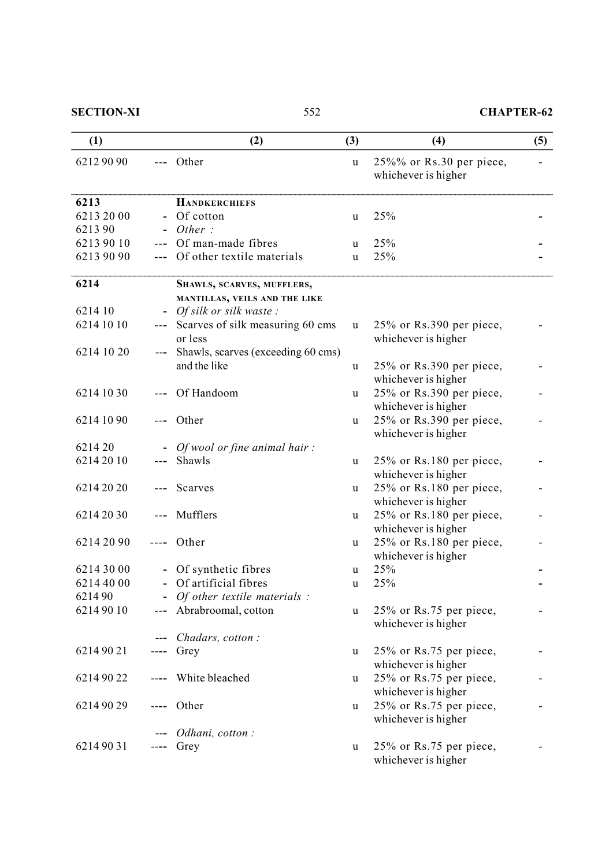# **SECTION-XI** 552 **CHAPTER-62**

| (1)        |     | (2)                                | (3) | (4)                                                 | (5) |
|------------|-----|------------------------------------|-----|-----------------------------------------------------|-----|
| 62129090   |     | Other                              | u   | $25\%$ % or Rs.30 per piece,<br>whichever is higher |     |
| 6213       |     | <b>HANDKERCHIEFS</b>               |     |                                                     |     |
| 6213 20 00 |     | Of cotton                          | u   | 25%                                                 |     |
| 621390     |     | Other:                             |     |                                                     |     |
| 62139010   |     | Of man-made fibres                 | u   | 25%                                                 |     |
| 6213 90 90 |     | Of other textile materials         | u   | 25%                                                 |     |
| 6214       |     | SHAWLS, SCARVES, MUFFLERS,         |     |                                                     |     |
|            |     | MANTILLAS, VEILS AND THE LIKE      |     |                                                     |     |
| 6214 10    |     | Of silk or silk waste:             |     |                                                     |     |
| 6214 10 10 |     | Scarves of silk measuring 60 cms   | u   | $25\%$ or Rs.390 per piece,                         |     |
|            |     | or less                            |     | whichever is higher                                 |     |
| 6214 10 20 | --- | Shawls, scarves (exceeding 60 cms) |     |                                                     |     |
|            |     | and the like                       | u   | $25\%$ or Rs.390 per piece,                         |     |
|            |     |                                    |     | whichever is higher                                 |     |
| 6214 10 30 |     | Of Handoom                         | u   | 25% or Rs.390 per piece,                            |     |
|            |     |                                    |     | whichever is higher                                 |     |
| 6214 10 90 |     | Other                              | u   | 25% or Rs.390 per piece,                            |     |
|            |     |                                    |     | whichever is higher                                 |     |
| 6214 20    |     | Of wool or fine animal hair:       |     |                                                     |     |
| 6214 20 10 |     | Shawls                             | u   | 25% or Rs.180 per piece,                            |     |
|            |     |                                    |     | whichever is higher                                 |     |
| 6214 20 20 |     | <b>Scarves</b>                     | u   | 25% or Rs.180 per piece,                            |     |
|            |     |                                    |     | whichever is higher                                 |     |
| 6214 20 30 |     | Mufflers                           | u   | 25% or Rs.180 per piece,                            |     |
|            |     |                                    |     | whichever is higher                                 |     |
| 6214 20 90 |     | Other                              | u   | 25% or Rs.180 per piece,                            |     |
|            |     |                                    |     | whichever is higher                                 |     |
| 6214 30 00 |     | Of synthetic fibres                | u   | 25%                                                 |     |
| 62144000   |     | Of artificial fibres               | u   | 25%                                                 |     |
| 621490     |     | - Of other textile materials :     |     |                                                     |     |
| 62149010   |     | Abrabroomal, cotton                | u   | 25% or Rs.75 per piece,                             |     |
|            |     |                                    |     | whichever is higher                                 |     |
|            |     | Chadars, cotton:                   |     |                                                     |     |
| 6214 90 21 |     | Grey                               | u   | 25% or Rs.75 per piece,                             |     |
|            |     |                                    |     | whichever is higher                                 |     |
| 6214 90 22 |     | White bleached                     | u   | 25% or Rs.75 per piece,                             |     |
|            |     |                                    |     | whichever is higher                                 |     |
| 62149029   |     | Other                              | u   | 25% or Rs.75 per piece,                             |     |
|            |     |                                    |     | whichever is higher                                 |     |
|            |     | Odhani, cotton:                    |     |                                                     |     |
| 62149031   |     | Grey                               | u   | 25% or Rs.75 per piece,<br>whichever is higher      |     |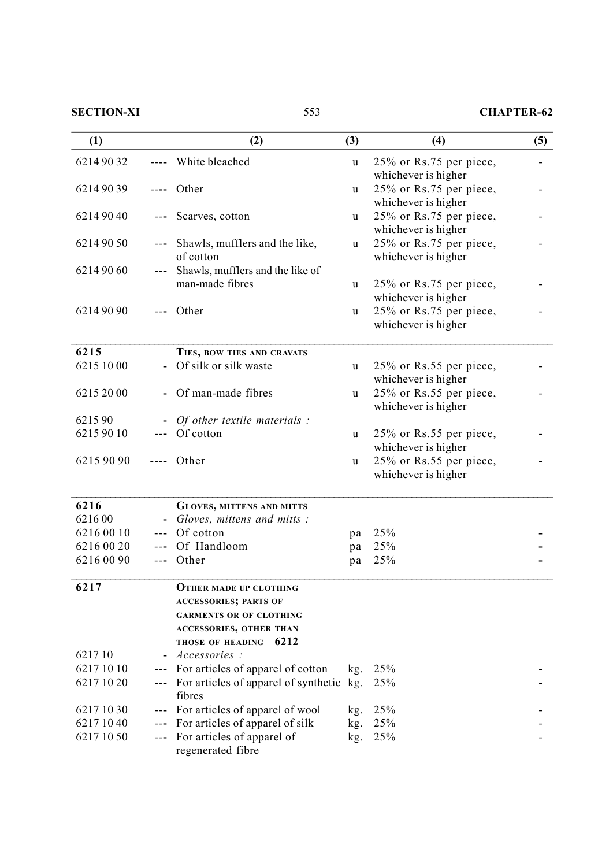| (1)                  |       | (2)                                                | (3)      | (4)                                            | (5) |
|----------------------|-------|----------------------------------------------------|----------|------------------------------------------------|-----|
| 62149032             |       | White bleached                                     | u        | 25% or Rs.75 per piece,<br>whichever is higher |     |
| 62149039             |       | Other                                              | u        | 25% or Rs.75 per piece,                        |     |
|                      |       |                                                    |          | whichever is higher                            |     |
| 62149040             |       | Scarves, cotton                                    | u        | 25% or Rs.75 per piece,                        |     |
|                      |       |                                                    |          | whichever is higher                            |     |
| 6214 90 50           |       | Shawls, mufflers and the like,                     | u        | 25% or Rs.75 per piece,                        |     |
|                      |       | of cotton                                          |          | whichever is higher                            |     |
| 62149060             |       | Shawls, mufflers and the like of                   |          |                                                |     |
|                      |       | man-made fibres                                    | u        | 25% or Rs.75 per piece,<br>whichever is higher |     |
| 62149090             |       | Other                                              | u        | 25% or Rs.75 per piece,                        |     |
|                      |       |                                                    |          | whichever is higher                            |     |
|                      |       |                                                    |          |                                                |     |
| 6215                 |       | TIES, BOW TIES AND CRAVATS                         |          |                                                |     |
| 6215 10 00           |       | Of silk or silk waste                              | u        | 25% or Rs.55 per piece,                        |     |
|                      |       |                                                    |          | whichever is higher                            |     |
| 62152000             |       | Of man-made fibres                                 | u        | 25% or Rs.55 per piece,                        |     |
|                      |       |                                                    |          | whichever is higher                            |     |
| 621590<br>62159010   |       | Of other textile materials :<br>Of cotton          | u        |                                                |     |
|                      |       |                                                    |          | 25% or Rs.55 per piece,<br>whichever is higher |     |
| 62159090             |       | Other                                              | u        | 25% or Rs.55 per piece,                        |     |
|                      |       |                                                    |          | whichever is higher                            |     |
|                      |       |                                                    |          |                                                |     |
| 6216                 |       | <b>GLOVES, MITTENS AND MITTS</b>                   |          |                                                |     |
| 621600<br>62160010   |       | Gloves, mittens and mitts:<br>Of cotton            |          | 25%                                            |     |
| 62160020             |       | Of Handloom                                        | pa<br>pa | 25%                                            |     |
| 62160090             |       | Other                                              | pa       | 25%                                            |     |
|                      |       |                                                    |          |                                                |     |
| 6217                 |       | <b>OTHER MADE UP CLOTHING</b>                      |          |                                                |     |
|                      |       | <b>ACCESSORIES; PARTS OF</b>                       |          |                                                |     |
|                      |       | <b>GARMENTS OR OF CLOTHING</b>                     |          |                                                |     |
|                      |       | <b>ACCESSORIES, OTHER THAN</b>                     |          |                                                |     |
|                      |       | 6212<br><b>THOSE OF HEADING</b>                    |          |                                                |     |
| 621710               |       | <i>Accessories:</i>                                |          |                                                |     |
| 62171010<br>62171020 |       | For articles of apparel of cotton                  | kg.      | 25%                                            |     |
|                      |       | For articles of apparel of synthetic kg.<br>fibres |          | 25%                                            |     |
| 62171030             |       | For articles of apparel of wool                    | kg.      | 25%                                            |     |
| 62171040             | $---$ | For articles of apparel of silk                    | kg.      | 25%                                            |     |
| 62171050             |       | For articles of apparel of                         | kg.      | 25%                                            |     |
|                      |       | regenerated fibre                                  |          |                                                |     |